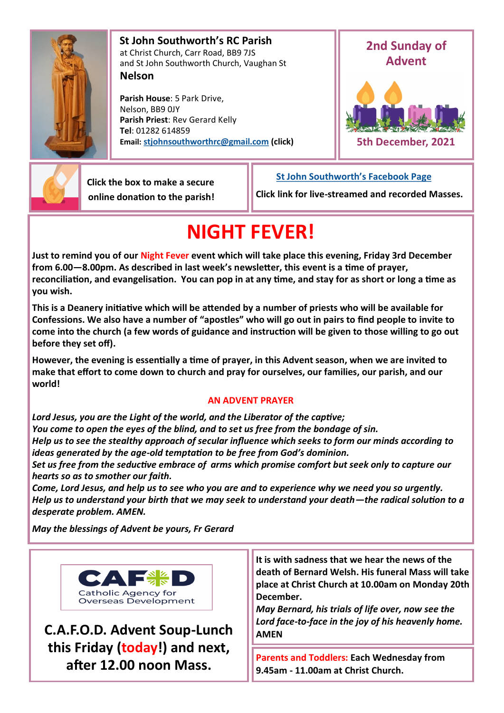

 **St John Southworth's RC Parish** at Christ Church, Carr Road, BB9 7JS and St John Southworth Church, Vaughan St **Nelson**

 **Parish House**: 5 Park Drive, Nelson, BB9 0JY **Parish Priest**: Rev Gerard Kelly **Tel**: 01282 614859 **Email: [stjohnsouthworthrc@gmail.com](mailto:stjohnsouthworth@gmail.com) (click)**





 **Click the box to make a secure online donation to the parish!** **[St John Southworth's Facebook Page](https://www.facebook.com/Parish-of-St-John-Southworth-in-Nelson-105718084323986)**

**Click link for live-streamed and recorded Masses.**

# **NIGHT FEVER!**

**Just to remind you of our Night Fever event which will take place this evening, Friday 3rd December from 6.00—8.00pm. As described in last week's newsletter, this event is a time of prayer, reconciliation, and evangelisation. You can pop in at any time, and stay for as short or long a time as you wish.**

**This is a Deanery initiative which will be attended by a number of priests who will be available for Confessions. We also have a number of "apostles" who will go out in pairs to find people to invite to come into the church (a few words of guidance and instruction will be given to those willing to go out before they set off).** 

**However, the evening is essentially a time of prayer, in this Advent season, when we are invited to make that effort to come down to church and pray for ourselves, our families, our parish, and our world!**

# **AN ADVENT PRAYER**

*Lord Jesus, you are the Light of the world, and the Liberator of the captive; You come to open the eyes of the blind, and to set us free from the bondage of sin. Help us to see the stealthy approach of secular influence which seeks to form our minds according to ideas generated by the age-old temptation to be free from God's dominion.*

*Set us free from the seductive embrace of arms which promise comfort but seek only to capture our hearts so as to smother our faith.*

*Come, Lord Jesus, and help us to see who you are and to experience why we need you so urgently. Help us to understand your birth that we may seek to understand your death—the radical solution to a desperate problem. AMEN.*

*May the blessings of Advent be yours, Fr Gerard*



**C.A.F.O.D. Advent Soup-Lunch this Friday (today!) and next, after 12.00 noon Mass.**

**It is with sadness that we hear the news of the death of Bernard Welsh. His funeral Mass will take place at Christ Church at 10.00am on Monday 20th December.** 

*May Bernard, his trials of life over, now see the Lord face-to-face in the joy of his heavenly home.* **AMEN**

**Parents and Toddlers: Each Wednesday from 9.45am - 11.00am at Christ Church.**